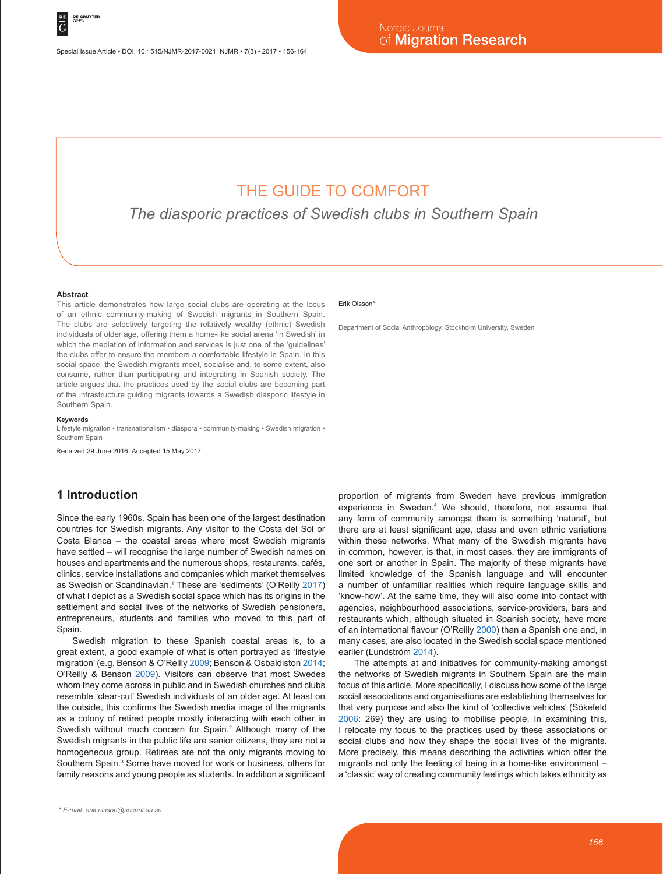# THE GUIDE TO COMFORT

*The diasporic practices of Swedish clubs in Southern Spain*

#### **Abstract**

This article demonstrates how large social clubs are operating at the locus of an ethnic community-making of Swedish migrants in Southern Spain. The clubs are selectively targeting the relatively wealthy (ethnic) Swedish individuals of older age, offering them a home-like social arena 'in Swedish' in which the mediation of information and services is just one of the 'quidelines' the clubs offer to ensure the members a comfortable lifestyle in Spain. In this social space, the Swedish migrants meet, socialise and, to some extent, also consume, rather than participating and integrating in Spanish society. The article argues that the practices used by the social clubs are becoming part of the infrastructure guiding migrants towards a Swedish diasporic lifestyle in Southern Spain.

#### **Keywords**

Lifestyle migration • transnationalism • diaspora • community-making • Swedish migration • Southern Spain

Received 29 June 2016; Accepted 15 May 2017

## **1 Introduction**

Since the early 1960s, Spain has been one of the largest destination countries for Swedish migrants. Any visitor to the Costa del Sol or Costa Blanca – the coastal areas where most Swedish migrants have settled – will recognise the large number of Swedish names on houses and apartments and the numerous shops, restaurants, cafés, clinics, service installations and companies which market themselves as Swedish or Scandinavian.<sup>1</sup> These are 'sediments' (O'Reilly 2017) of what I depict as a Swedish social space which has its origins in the settlement and social lives of the networks of Swedish pensioners, entrepreneurs, students and families who moved to this part of Spain.

Swedish migration to these Spanish coastal areas is, to a great extent, a good example of what is often portrayed as 'lifestyle migration' (e.g. Benson & O'Reilly 2009; Benson & Osbaldiston 2014; O'Reilly & Benson 2009). Visitors can observe that most Swedes whom they come across in public and in Swedish churches and clubs resemble 'clear-cut' Swedish individuals of an older age. At least on the outside, this confirms the Swedish media image of the migrants as a colony of retired people mostly interacting with each other in Swedish without much concern for Spain.<sup>2</sup> Although many of the Swedish migrants in the public life are senior citizens, they are not a homogeneous group. Retirees are not the only migrants moving to Southern Spain.<sup>3</sup> Some have moved for work or business, others for family reasons and young people as students. In addition a significant

#### Erik Olsson\*

Department of Social Anthropology, Stockholm University, Sweden

proportion of migrants from Sweden have previous immigration experience in Sweden.4 We should, therefore, not assume that any form of community amongst them is something 'natural', but there are at least significant age, class and even ethnic variations within these networks. What many of the Swedish migrants have in common, however, is that, in most cases, they are immigrants of one sort or another in Spain. The majority of these migrants have limited knowledge of the Spanish language and will encounter a number of unfamiliar realities which require language skills and 'know-how'. At the same time, they will also come into contact with agencies, neighbourhood associations, service-providers, bars and restaurants which, although situated in Spanish society, have more of an international flavour (O'Reilly 2000) than a Spanish one and, in many cases, are also located in the Swedish social space mentioned earlier (Lundström 2014).

The attempts at and initiatives for community-making amongst the networks of Swedish migrants in Southern Spain are the main focus of this article. More specifically, I discuss how some of the large social associations and organisations are establishing themselves for that very purpose and also the kind of 'collective vehicles' (Sökefeld 2006: 269) they are using to mobilise people. In examining this, I relocate my focus to the practices used by these associations or social clubs and how they shape the social lives of the migrants. More precisely, this means describing the activities which offer the migrants not only the feeling of being in a home-like environment – a 'classic' way of creating community feelings which takes ethnicity as

*<sup>\*</sup> E-mail: erik.olsson@socant.su.se*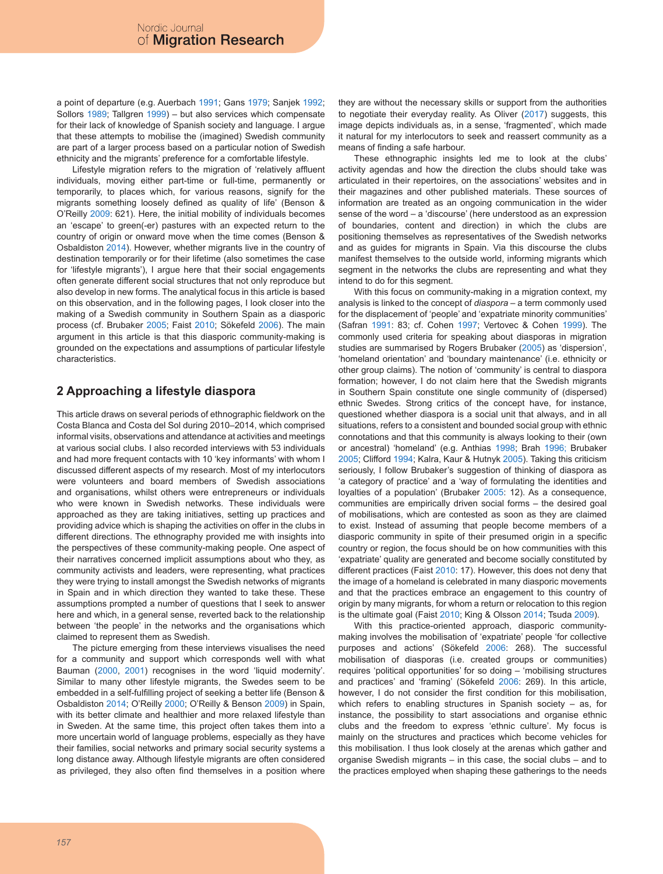a point of departure (e.g. Auerbach 1991; Gans 1979; Sanjek 1992; Sollors 1989; Tallgren 1999) – but also services which compensate for their lack of knowledge of Spanish society and language. I argue that these attempts to mobilise the (imagined) Swedish community are part of a larger process based on a particular notion of Swedish ethnicity and the migrants' preference for a comfortable lifestyle.

Lifestyle migration refers to the migration of 'relatively affluent individuals, moving either part-time or full-time, permanently or temporarily, to places which, for various reasons, signify for the migrants something loosely defined as quality of life' (Benson & O'Reilly 2009: 621). Here, the initial mobility of individuals becomes an 'escape' to green(-er) pastures with an expected return to the country of origin or onward move when the time comes (Benson & Osbaldiston 2014). However, whether migrants live in the country of destination temporarily or for their lifetime (also sometimes the case for 'lifestyle migrants'), I argue here that their social engagements often generate different social structures that not only reproduce but also develop in new forms. The analytical focus in this article is based on this observation, and in the following pages, I look closer into the making of a Swedish community in Southern Spain as a diasporic process (cf. Brubaker 2005; Faist 2010; Sökefeld 2006). The main argument in this article is that this diasporic community-making is grounded on the expectations and assumptions of particular lifestyle characteristics.

# **2 Approaching a lifestyle diaspora**

This article draws on several periods of ethnographic fieldwork on the Costa Blanca and Costa del Sol during 2010–2014, which comprised informal visits, observations and attendance at activities and meetings at various social clubs. I also recorded interviews with 53 individuals and had more frequent contacts with 10 'key informants' with whom I discussed different aspects of my research. Most of my interlocutors were volunteers and board members of Swedish associations and organisations, whilst others were entrepreneurs or individuals who were known in Swedish networks. These individuals were approached as they are taking initiatives, setting up practices and providing advice which is shaping the activities on offer in the clubs in different directions. The ethnography provided me with insights into the perspectives of these community-making people. One aspect of their narratives concerned implicit assumptions about who they, as community activists and leaders, were representing, what practices they were trying to install amongst the Swedish networks of migrants in Spain and in which direction they wanted to take these. These assumptions prompted a number of questions that I seek to answer here and which, in a general sense, reverted back to the relationship between 'the people' in the networks and the organisations which claimed to represent them as Swedish.

The picture emerging from these interviews visualises the need for a community and support which corresponds well with what Bauman (2000, 2001) recognises in the word 'liquid modernity'. Similar to many other lifestyle migrants, the Swedes seem to be embedded in a self-fulfilling project of seeking a better life (Benson & Osbaldiston 2014; O'Reilly 2000; O'Reilly & Benson 2009) in Spain, with its better climate and healthier and more relaxed lifestyle than in Sweden. At the same time, this project often takes them into a more uncertain world of language problems, especially as they have their families, social networks and primary social security systems a long distance away. Although lifestyle migrants are often considered as privileged, they also often find themselves in a position where

they are without the necessary skills or support from the authorities to negotiate their everyday reality. As Oliver (2017) suggests, this image depicts individuals as, in a sense, 'fragmented', which made it natural for my interlocutors to seek and reassert community as a means of finding a safe harbour.

These ethnographic insights led me to look at the clubs' activity agendas and how the direction the clubs should take was articulated in their repertoires, on the associations' websites and in their magazines and other published materials. These sources of information are treated as an ongoing communication in the wider sense of the word – a 'discourse' (here understood as an expression of boundaries, content and direction) in which the clubs are positioning themselves as representatives of the Swedish networks and as guides for migrants in Spain. Via this discourse the clubs manifest themselves to the outside world, informing migrants which segment in the networks the clubs are representing and what they intend to do for this segment.

With this focus on community-making in a migration context, my analysis is linked to the concept of *diaspora* – a term commonly used for the displacement of 'people' and 'expatriate minority communities' (Safran 1991: 83; cf. Cohen 1997; Vertovec & Cohen 1999). The commonly used criteria for speaking about diasporas in migration studies are summarised by Rogers Brubaker (2005) as 'dispersion', 'homeland orientation' and 'boundary maintenance' (i.e. ethnicity or other group claims). The notion of 'community' is central to diaspora formation; however, I do not claim here that the Swedish migrants in Southern Spain constitute one single community of (dispersed) ethnic Swedes. Strong critics of the concept have, for instance, questioned whether diaspora is a social unit that always, and in all situations, refers to a consistent and bounded social group with ethnic connotations and that this community is always looking to their (own or ancestral) 'homeland' (e.g. Anthias 1998; Brah 1996; Brubaker 2005; Clifford 1994; Kalra, Kaur & Hutnyk 2005). Taking this criticism seriously, I follow Brubaker's suggestion of thinking of diaspora as 'a category of practice' and a 'way of formulating the identities and loyalties of a population' (Brubaker 2005: 12). As a consequence, communities are empirically driven social forms – the desired goal of mobilisations, which are contested as soon as they are claimed to exist. Instead of assuming that people become members of a diasporic community in spite of their presumed origin in a specific country or region, the focus should be on how communities with this 'expatriate' quality are generated and become socially constituted by different practices (Faist 2010: 17). However, this does not deny that the image of a homeland is celebrated in many diasporic movements and that the practices embrace an engagement to this country of origin by many migrants, for whom a return or relocation to this region is the ultimate goal (Faist 2010; King & Olsson 2014; Tsuda 2009).

With this practice-oriented approach, diasporic communitymaking involves the mobilisation of 'expatriate' people 'for collective purposes and actions' (Sökefeld 2006: 268). The successful mobilisation of diasporas (i.e. created groups or communities) requires 'political opportunities' for so doing – 'mobilising structures and practices' and 'framing' (Sökefeld 2006: 269). In this article, however, I do not consider the first condition for this mobilisation, which refers to enabling structures in Spanish society – as, for instance, the possibility to start associations and organise ethnic clubs and the freedom to express 'ethnic culture'. My focus is mainly on the structures and practices which become vehicles for this mobilisation. I thus look closely at the arenas which gather and organise Swedish migrants – in this case, the social clubs – and to the practices employed when shaping these gatherings to the needs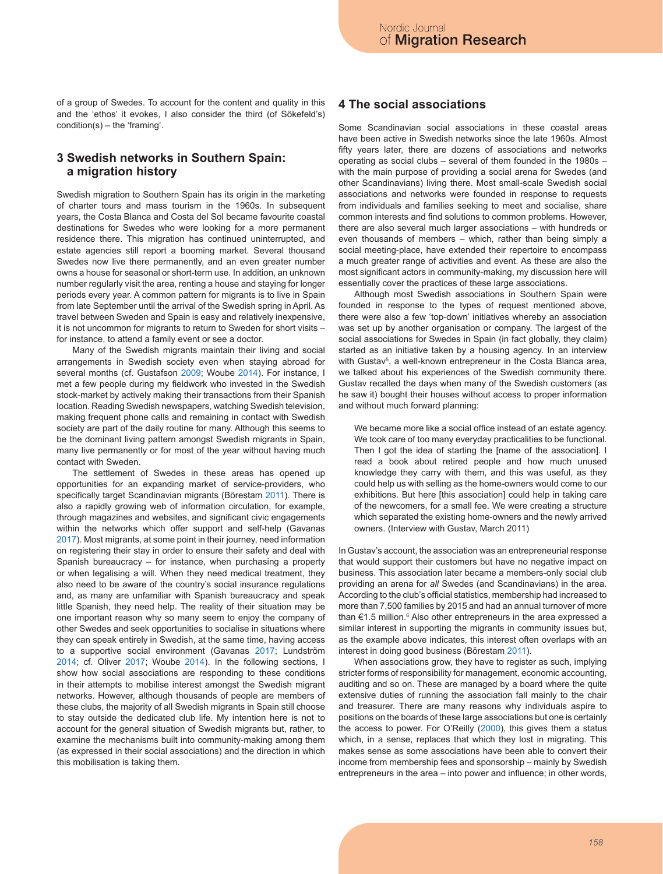of a group of Swedes. To account for the content and quality in this and the 'ethos' it evokes, I also consider the third (of Sökefeld's) condition(s) – the 'framing'.

# **3 Swedish networks in Southern Spain: a migration history**

Swedish migration to Southern Spain has its origin in the marketing of charter tours and mass tourism in the 1960s. In subsequent years, the Costa Blanca and Costa del Sol became favourite coastal destinations for Swedes who were looking for a more permanent residence there. This migration has continued uninterrupted, and estate agencies still report a booming market. Several thousand Swedes now live there permanently, and an even greater number owns a house for seasonal or short-term use. In addition, an unknown number regularly visit the area, renting a house and staying for longer periods every year. A common pattern for migrants is to live in Spain from late September until the arrival of the Swedish spring in April. As travel between Sweden and Spain is easy and relatively inexpensive, it is not uncommon for migrants to return to Sweden for short visits – for instance, to attend a family event or see a doctor.

Many of the Swedish migrants maintain their living and social arrangements in Swedish society even when staying abroad for several months (cf. Gustafson 2009; Woube 2014). For instance, I met a few people during my fieldwork who invested in the Swedish stock-market by actively making their transactions from their Spanish location. Reading Swedish newspapers, watching Swedish television, making frequent phone calls and remaining in contact with Swedish society are part of the daily routine for many. Although this seems to be the dominant living pattern amongst Swedish migrants in Spain, many live permanently or for most of the year without having much contact with Sweden.

The settlement of Swedes in these areas has opened up opportunities for an expanding market of service-providers, who specifically target Scandinavian migrants (Börestam 2011). There is also a rapidly growing web of information circulation, for example, through magazines and websites, and significant civic engagements within the networks which offer support and self-help (Gavanas 2017). Most migrants, at some point in their journey, need information on registering their stay in order to ensure their safety and deal with Spanish bureaucracy – for instance, when purchasing a property or when legalising a will. When they need medical treatment, they also need to be aware of the country's social insurance regulations and, as many are unfamiliar with Spanish bureaucracy and speak little Spanish, they need help. The reality of their situation may be one important reason why so many seem to enjoy the company of other Swedes and seek opportunities to socialise in situations where they can speak entirely in Swedish, at the same time, having access to a supportive social environment (Gavanas 2017; Lundström 2014; cf. Oliver 2017; Woube 2014). In the following sections, I show how social associations are responding to these conditions in their attempts to mobilise interest amongst the Swedish migrant networks. However, although thousands of people are members of these clubs, the majority of all Swedish migrants in Spain still choose to stay outside the dedicated club life. My intention here is not to account for the general situation of Swedish migrants but, rather, to examine the mechanisms built into community-making among them (as expressed in their social associations) and the direction in which this mobilisation is taking them.

# **4 The social associations**

Some Scandinavian social associations in these coastal areas have been active in Swedish networks since the late 1960s. Almost fifty years later, there are dozens of associations and networks operating as social clubs – several of them founded in the 1980s – with the main purpose of providing a social arena for Swedes (and other Scandinavians) living there. Most small-scale Swedish social associations and networks were founded in response to requests from individuals and families seeking to meet and socialise, share common interests and find solutions to common problems. However, there are also several much larger associations – with hundreds or even thousands of members – which, rather than being simply a social meeting-place, have extended their repertoire to encompass a much greater range of activities and event. As these are also the most significant actors in community-making, my discussion here will essentially cover the practices of these large associations.

Although most Swedish associations in Southern Spain were founded in response to the types of request mentioned above, there were also a few 'top-down' initiatives whereby an association was set up by another organisation or company. The largest of the social associations for Swedes in Spain (in fact globally, they claim) started as an initiative taken by a housing agency. In an interview with Gustav<sup>5</sup>, a well-known entrepreneur in the Costa Blanca area, we talked about his experiences of the Swedish community there. Gustav recalled the days when many of the Swedish customers (as he saw it) bought their houses without access to proper information and without much forward planning:

We became more like a social office instead of an estate agency. We took care of too many everyday practicalities to be functional. Then I got the idea of starting the [name of the association]. I read a book about retired people and how much unused knowledge they carry with them, and this was useful, as they could help us with selling as the home-owners would come to our exhibitions. But here [this association] could help in taking care of the newcomers, for a small fee. We were creating a structure which separated the existing home-owners and the newly arrived owners. (Interview with Gustav, March 2011)

In Gustav's account, the association was an entrepreneurial response that would support their customers but have no negative impact on business. This association later became a members-only social club providing an arena for *all* Swedes (and Scandinavians) in the area. According to the club's official statistics, membership had increased to more than 7,500 families by 2015 and had an annual turnover of more than €1.5 million.<sup>6</sup> Also other entrepreneurs in the area expressed a similar interest in supporting the migrants in community issues but, as the example above indicates, this interest often overlaps with an interest in doing good business (Börestam 2011).

When associations grow, they have to register as such, implying stricter forms of responsibility for management, economic accounting, auditing and so on. These are managed by a board where the quite extensive duties of running the association fall mainly to the chair and treasurer. There are many reasons why individuals aspire to positions on the boards of these large associations but one is certainly the access to power. For O'Reilly (2000), this gives them a status which, in a sense, replaces that which they lost in migrating. This makes sense as some associations have been able to convert their income from membership fees and sponsorship – mainly by Swedish entrepreneurs in the area – into power and influence; in other words,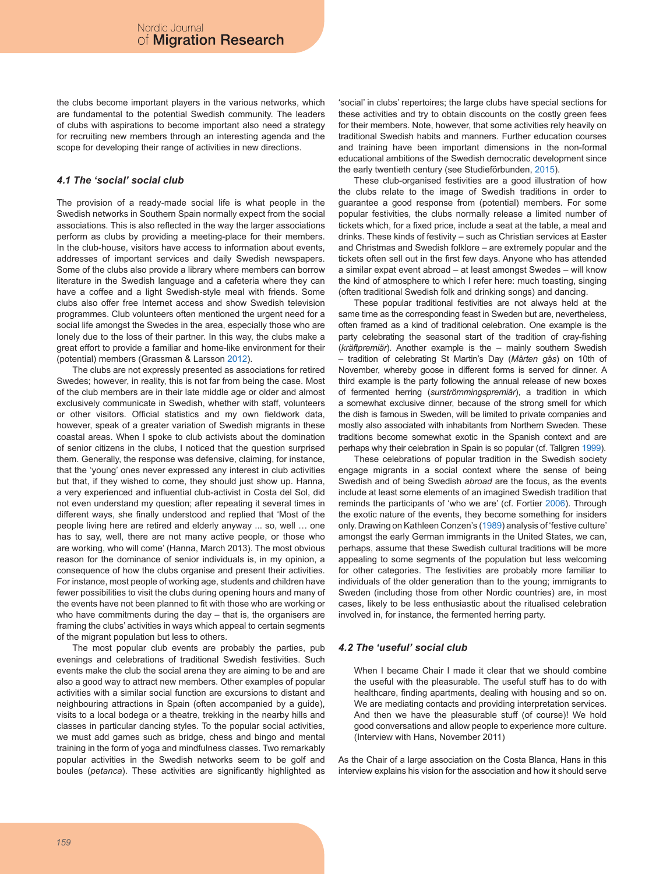the clubs become important players in the various networks, which are fundamental to the potential Swedish community. The leaders of clubs with aspirations to become important also need a strategy for recruiting new members through an interesting agenda and the scope for developing their range of activities in new directions.

### *4.1 The 'social' social club*

The provision of a ready-made social life is what people in the Swedish networks in Southern Spain normally expect from the social associations. This is also reflected in the way the larger associations perform as clubs by providing a meeting-place for their members. In the club-house, visitors have access to information about events, addresses of important services and daily Swedish newspapers. Some of the clubs also provide a library where members can borrow literature in the Swedish language and a cafeteria where they can have a coffee and a light Swedish-style meal with friends. Some clubs also offer free Internet access and show Swedish television programmes. Club volunteers often mentioned the urgent need for a social life amongst the Swedes in the area, especially those who are lonely due to the loss of their partner. In this way, the clubs make a great effort to provide a familiar and home-like environment for their (potential) members (Grassman & Larsson 2012).

The clubs are not expressly presented as associations for retired Swedes; however, in reality, this is not far from being the case. Most of the club members are in their late middle age or older and almost exclusively communicate in Swedish, whether with staff, volunteers or other visitors. Official statistics and my own fieldwork data, however, speak of a greater variation of Swedish migrants in these coastal areas. When I spoke to club activists about the domination of senior citizens in the clubs, I noticed that the question surprised them. Generally, the response was defensive, claiming, for instance, that the 'young' ones never expressed any interest in club activities but that, if they wished to come, they should just show up. Hanna, a very experienced and influential club-activist in Costa del Sol, did not even understand my question; after repeating it several times in different ways, she finally understood and replied that 'Most of the people living here are retired and elderly anyway ... so, well … one has to say, well, there are not many active people, or those who are working, who will come' (Hanna, March 2013). The most obvious reason for the dominance of senior individuals is, in my opinion, a consequence of how the clubs organise and present their activities. For instance, most people of working age, students and children have fewer possibilities to visit the clubs during opening hours and many of the events have not been planned to fit with those who are working or who have commitments during the day – that is, the organisers are framing the clubs' activities in ways which appeal to certain segments of the migrant population but less to others.

The most popular club events are probably the parties, pub evenings and celebrations of traditional Swedish festivities. Such events make the club the social arena they are aiming to be and are also a good way to attract new members. Other examples of popular activities with a similar social function are excursions to distant and neighbouring attractions in Spain (often accompanied by a guide), visits to a local bodega or a theatre, trekking in the nearby hills and classes in particular dancing styles. To the popular social activities, we must add games such as bridge, chess and bingo and mental training in the form of yoga and mindfulness classes. Two remarkably popular activities in the Swedish networks seem to be golf and boules (*petanca*). These activities are significantly highlighted as 'social' in clubs' repertoires; the large clubs have special sections for these activities and try to obtain discounts on the costly green fees for their members. Note, however, that some activities rely heavily on traditional Swedish habits and manners. Further education courses and training have been important dimensions in the non-formal educational ambitions of the Swedish democratic development since the early twentieth century (see Studieförbunden, 2015).

These club-organised festivities are a good illustration of how the clubs relate to the image of Swedish traditions in order to guarantee a good response from (potential) members. For some popular festivities, the clubs normally release a limited number of tickets which, for a fixed price, include a seat at the table, a meal and drinks. These kinds of festivity – such as Christian services at Easter and Christmas and Swedish folklore – are extremely popular and the tickets often sell out in the first few days. Anyone who has attended a similar expat event abroad – at least amongst Swedes – will know the kind of atmosphere to which I refer here: much toasting, singing (often traditional Swedish folk and drinking songs) and dancing.

These popular traditional festivities are not always held at the same time as the corresponding feast in Sweden but are, nevertheless, often framed as a kind of traditional celebration. One example is the party celebrating the seasonal start of the tradition of cray-fishing (*kräftpremiär*). Another example is the – mainly southern Swedish – tradition of celebrating St Martin's Day (*Mårten gås*) on 10th of November, whereby goose in different forms is served for dinner. A third example is the party following the annual release of new boxes of fermented herring (*surströmmingspremiär*), a tradition in which a somewhat exclusive dinner, because of the strong smell for which the dish is famous in Sweden, will be limited to private companies and mostly also associated with inhabitants from Northern Sweden. These traditions become somewhat exotic in the Spanish context and are perhaps why their celebration in Spain is so popular (cf. Tallgren 1999).

These celebrations of popular tradition in the Swedish society engage migrants in a social context where the sense of being Swedish and of being Swedish *abroad* are the focus, as the events include at least some elements of an imagined Swedish tradition that reminds the participants of 'who we are' (cf. Fortier 2006). Through the exotic nature of the events, they become something for insiders only. Drawing on Kathleen Conzen's (1989) analysis of 'festive culture' amongst the early German immigrants in the United States, we can, perhaps, assume that these Swedish cultural traditions will be more appealing to some segments of the population but less welcoming for other categories. The festivities are probably more familiar to individuals of the older generation than to the young; immigrants to Sweden (including those from other Nordic countries) are, in most cases, likely to be less enthusiastic about the ritualised celebration involved in, for instance, the fermented herring party.

### *4.2 The 'useful' social club*

When I became Chair I made it clear that we should combine the useful with the pleasurable. The useful stuff has to do with healthcare, finding apartments, dealing with housing and so on. We are mediating contacts and providing interpretation services. And then we have the pleasurable stuff (of course)! We hold good conversations and allow people to experience more culture. (Interview with Hans, November 2011)

As the Chair of a large association on the Costa Blanca, Hans in this interview explains his vision for the association and how it should serve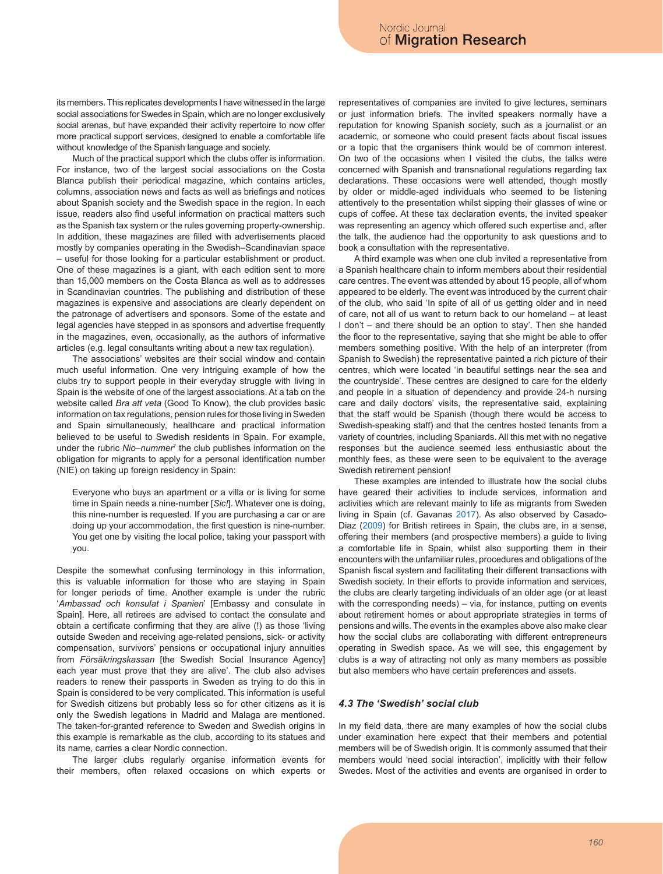its members. This replicates developments I have witnessed in the large social associations for Swedes in Spain, which are no longer exclusively social arenas, but have expanded their activity repertoire to now offer more practical support services, designed to enable a comfortable life without knowledge of the Spanish language and society.

Much of the practical support which the clubs offer is information. For instance, two of the largest social associations on the Costa Blanca publish their periodical magazine, which contains articles, columns, association news and facts as well as briefings and notices about Spanish society and the Swedish space in the region. In each issue, readers also find useful information on practical matters such as the Spanish tax system or the rules governing property-ownership. In addition, these magazines are filled with advertisements placed mostly by companies operating in the Swedish–Scandinavian space – useful for those looking for a particular establishment or product. One of these magazines is a giant, with each edition sent to more than 15,000 members on the Costa Blanca as well as to addresses in Scandinavian countries. The publishing and distribution of these magazines is expensive and associations are clearly dependent on the patronage of advertisers and sponsors. Some of the estate and legal agencies have stepped in as sponsors and advertise frequently in the magazines, even, occasionally, as the authors of informative articles (e.g. legal consultants writing about a new tax regulation).

The associations' websites are their social window and contain much useful information. One very intriguing example of how the clubs try to support people in their everyday struggle with living in Spain is the website of one of the largest associations. At a tab on the website called *Bra att veta* (Good To Know), the club provides basic information on tax regulations, pension rules for those living in Sweden and Spain simultaneously, healthcare and practical information believed to be useful to Swedish residents in Spain. For example, under the rubric *Nio–nummer*<sup>7</sup> the club publishes information on the obligation for migrants to apply for a personal identification number (NIE) on taking up foreign residency in Spain:

Everyone who buys an apartment or a villa or is living for some time in Spain needs a nine-number [*Sic!*]. Whatever one is doing, this nine-number is requested. If you are purchasing a car or are doing up your accommodation, the first question is nine-number. You get one by visiting the local police, taking your passport with you.

Despite the somewhat confusing terminology in this information, this is valuable information for those who are staying in Spain for longer periods of time. Another example is under the rubric '*Ambassad och konsulat i Spanien*' [Embassy and consulate in Spain]. Here, all retirees are advised to contact the consulate and obtain a certificate confirming that they are alive (!) as those 'living outside Sweden and receiving age-related pensions, sick- or activity compensation, survivors' pensions or occupational injury annuities from *Försäkringskassan* [the Swedish Social Insurance Agency] each year must prove that they are alive'. The club also advises readers to renew their passports in Sweden as trying to do this in Spain is considered to be very complicated. This information is useful for Swedish citizens but probably less so for other citizens as it is only the Swedish legations in Madrid and Malaga are mentioned. The taken-for-granted reference to Sweden and Swedish origins in this example is remarkable as the club, according to its statues and its name, carries a clear Nordic connection.

The larger clubs regularly organise information events for their members, often relaxed occasions on which experts or representatives of companies are invited to give lectures, seminars or just information briefs. The invited speakers normally have a reputation for knowing Spanish society, such as a journalist or an academic, or someone who could present facts about fiscal issues or a topic that the organisers think would be of common interest. On two of the occasions when I visited the clubs, the talks were concerned with Spanish and transnational regulations regarding tax declarations. These occasions were well attended, though mostly by older or middle-aged individuals who seemed to be listening attentively to the presentation whilst sipping their glasses of wine or cups of coffee. At these tax declaration events, the invited speaker was representing an agency which offered such expertise and, after the talk, the audience had the opportunity to ask questions and to book a consultation with the representative.

A third example was when one club invited a representative from a Spanish healthcare chain to inform members about their residential care centres. The event was attended by about 15 people, all of whom appeared to be elderly. The event was introduced by the current chair of the club, who said 'In spite of all of us getting older and in need of care, not all of us want to return back to our homeland – at least I don't – and there should be an option to stay'. Then she handed the floor to the representative, saying that she might be able to offer members something positive. With the help of an interpreter (from Spanish to Swedish) the representative painted a rich picture of their centres, which were located 'in beautiful settings near the sea and the countryside'. These centres are designed to care for the elderly and people in a situation of dependency and provide 24-h nursing care and daily doctors' visits, the representative said, explaining that the staff would be Spanish (though there would be access to Swedish-speaking staff) and that the centres hosted tenants from a variety of countries, including Spaniards. All this met with no negative responses but the audience seemed less enthusiastic about the monthly fees, as these were seen to be equivalent to the average Swedish retirement pension!

These examples are intended to illustrate how the social clubs have geared their activities to include services, information and activities which are relevant mainly to life as migrants from Sweden living in Spain (cf. Gavanas 2017). As also observed by Casado-Diaz (2009) for British retirees in Spain, the clubs are, in a sense, offering their members (and prospective members) a guide to living a comfortable life in Spain, whilst also supporting them in their encounters with the unfamiliar rules, procedures and obligations of the Spanish fiscal system and facilitating their different transactions with Swedish society. In their efforts to provide information and services, the clubs are clearly targeting individuals of an older age (or at least with the corresponding needs) – via, for instance, putting on events about retirement homes or about appropriate strategies in terms of pensions and wills. The events in the examples above also make clear how the social clubs are collaborating with different entrepreneurs operating in Swedish space. As we will see, this engagement by clubs is a way of attracting not only as many members as possible but also members who have certain preferences and assets.

## *4.3 The 'Swedish' social club*

In my field data, there are many examples of how the social clubs under examination here expect that their members and potential members will be of Swedish origin. It is commonly assumed that their members would 'need social interaction', implicitly with their fellow Swedes. Most of the activities and events are organised in order to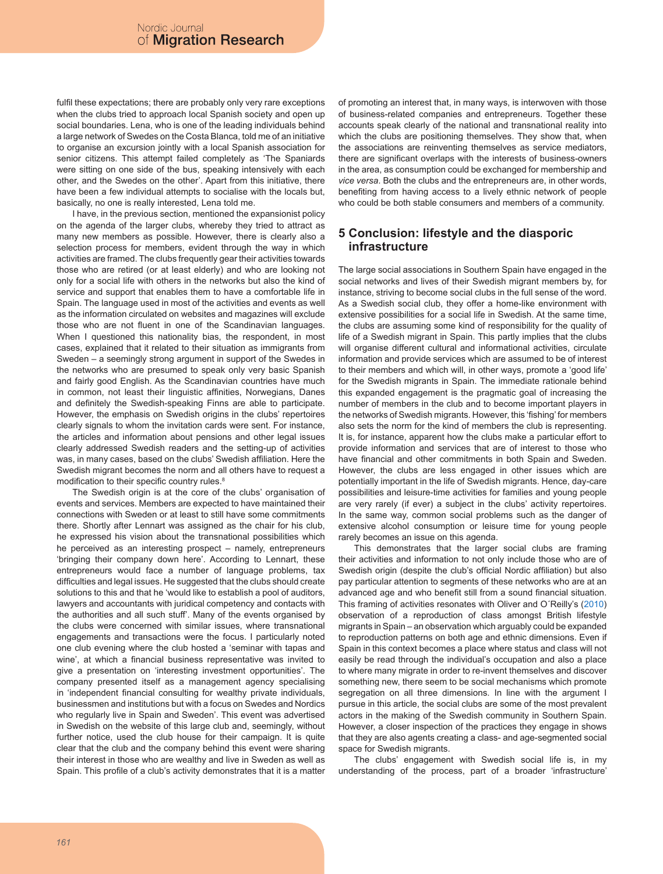fulfil these expectations; there are probably only very rare exceptions when the clubs tried to approach local Spanish society and open up social boundaries. Lena, who is one of the leading individuals behind a large network of Swedes on the Costa Blanca, told me of an initiative to organise an excursion jointly with a local Spanish association for senior citizens. This attempt failed completely as 'The Spaniards were sitting on one side of the bus, speaking intensively with each other, and the Swedes on the other'. Apart from this initiative, there have been a few individual attempts to socialise with the locals but, basically, no one is really interested, Lena told me.

I have, in the previous section, mentioned the expansionist policy on the agenda of the larger clubs, whereby they tried to attract as many new members as possible. However, there is clearly also a selection process for members, evident through the way in which activities are framed. The clubs frequently gear their activities towards those who are retired (or at least elderly) and who are looking not only for a social life with others in the networks but also the kind of service and support that enables them to have a comfortable life in Spain. The language used in most of the activities and events as well as the information circulated on websites and magazines will exclude those who are not fluent in one of the Scandinavian languages. When I questioned this nationality bias, the respondent, in most cases, explained that it related to their situation as immigrants from Sweden – a seemingly strong argument in support of the Swedes in the networks who are presumed to speak only very basic Spanish and fairly good English. As the Scandinavian countries have much in common, not least their linguistic affinities, Norwegians, Danes and definitely the Swedish-speaking Finns are able to participate. However, the emphasis on Swedish origins in the clubs' repertoires clearly signals to whom the invitation cards were sent. For instance, the articles and information about pensions and other legal issues clearly addressed Swedish readers and the setting-up of activities was, in many cases, based on the clubs' Swedish affiliation. Here the Swedish migrant becomes the norm and all others have to request a modification to their specific country rules.<sup>8</sup>

The Swedish origin is at the core of the clubs' organisation of events and services. Members are expected to have maintained their connections with Sweden or at least to still have some commitments there. Shortly after Lennart was assigned as the chair for his club, he expressed his vision about the transnational possibilities which he perceived as an interesting prospect – namely, entrepreneurs 'bringing their company down here'. According to Lennart, these entrepreneurs would face a number of language problems, tax difficulties and legal issues. He suggested that the clubs should create solutions to this and that he 'would like to establish a pool of auditors, lawyers and accountants with juridical competency and contacts with the authorities and all such stuff'. Many of the events organised by the clubs were concerned with similar issues, where transnational engagements and transactions were the focus. I particularly noted one club evening where the club hosted a 'seminar with tapas and wine', at which a financial business representative was invited to give a presentation on 'interesting investment opportunities'. The company presented itself as a management agency specialising in 'independent financial consulting for wealthy private individuals, businessmen and institutions but with a focus on Swedes and Nordics who regularly live in Spain and Sweden'. This event was advertised in Swedish on the website of this large club and, seemingly, without further notice, used the club house for their campaign. It is quite clear that the club and the company behind this event were sharing their interest in those who are wealthy and live in Sweden as well as Spain. This profile of a club's activity demonstrates that it is a matter

of promoting an interest that, in many ways, is interwoven with those of business-related companies and entrepreneurs. Together these accounts speak clearly of the national and transnational reality into which the clubs are positioning themselves. They show that, when the associations are reinventing themselves as service mediators, there are significant overlaps with the interests of business-owners in the area, as consumption could be exchanged for membership and *vice versa*. Both the clubs and the entrepreneurs are, in other words, benefiting from having access to a lively ethnic network of people who could be both stable consumers and members of a community.

# **5 Conclusion: lifestyle and the diasporic infrastructure**

The large social associations in Southern Spain have engaged in the social networks and lives of their Swedish migrant members by, for instance, striving to become social clubs in the full sense of the word. As a Swedish social club, they offer a home-like environment with extensive possibilities for a social life in Swedish. At the same time, the clubs are assuming some kind of responsibility for the quality of life of a Swedish migrant in Spain. This partly implies that the clubs will organise different cultural and informational activities, circulate information and provide services which are assumed to be of interest to their members and which will, in other ways, promote a 'good life' for the Swedish migrants in Spain. The immediate rationale behind this expanded engagement is the pragmatic goal of increasing the number of members in the club and to become important players in the networks of Swedish migrants. However, this 'fishing' for members also sets the norm for the kind of members the club is representing. It is, for instance, apparent how the clubs make a particular effort to provide information and services that are of interest to those who have financial and other commitments in both Spain and Sweden. However, the clubs are less engaged in other issues which are potentially important in the life of Swedish migrants. Hence, day-care possibilities and leisure-time activities for families and young people are very rarely (if ever) a subject in the clubs' activity repertoires. In the same way, common social problems such as the danger of extensive alcohol consumption or leisure time for young people rarely becomes an issue on this agenda.

This demonstrates that the larger social clubs are framing their activities and information to not only include those who are of Swedish origin (despite the club's official Nordic affiliation) but also pay particular attention to segments of these networks who are at an advanced age and who benefit still from a sound financial situation. This framing of activities resonates with Oliver and O´Reilly's (2010) observation of a reproduction of class amongst British lifestyle migrants in Spain – an observation which arguably could be expanded to reproduction patterns on both age and ethnic dimensions. Even if Spain in this context becomes a place where status and class will not easily be read through the individual's occupation and also a place to where many migrate in order to re-invent themselves and discover something new, there seem to be social mechanisms which promote segregation on all three dimensions. In line with the argument I pursue in this article, the social clubs are some of the most prevalent actors in the making of the Swedish community in Southern Spain. However, a closer inspection of the practices they engage in shows that they are also agents creating a class- and age-segmented social space for Swedish migrants.

The clubs' engagement with Swedish social life is, in my understanding of the process, part of a broader 'infrastructure'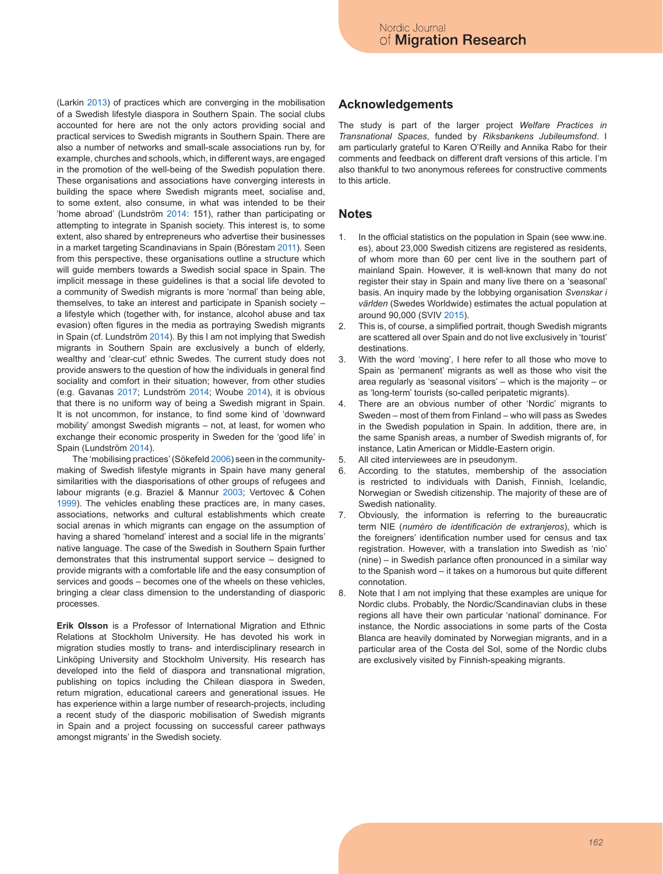(Larkin 2013) of practices which are converging in the mobilisation of a Swedish lifestyle diaspora in Southern Spain. The social clubs accounted for here are not the only actors providing social and practical services to Swedish migrants in Southern Spain. There are also a number of networks and small-scale associations run by, for example, churches and schools, which, in different ways, are engaged in the promotion of the well-being of the Swedish population there. These organisations and associations have converging interests in building the space where Swedish migrants meet, socialise and, to some extent, also consume, in what was intended to be their 'home abroad' (Lundström 2014: 151), rather than participating or attempting to integrate in Spanish society. This interest is, to some extent, also shared by entrepreneurs who advertise their businesses in a market targeting Scandinavians in Spain (Börestam 2011). Seen from this perspective, these organisations outline a structure which will guide members towards a Swedish social space in Spain. The implicit message in these guidelines is that a social life devoted to a community of Swedish migrants is more 'normal' than being able, themselves, to take an interest and participate in Spanish society – a lifestyle which (together with, for instance, alcohol abuse and tax evasion) often figures in the media as portraying Swedish migrants in Spain (cf. Lundström 2014). By this I am not implying that Swedish migrants in Southern Spain are exclusively a bunch of elderly, wealthy and 'clear-cut' ethnic Swedes. The current study does not provide answers to the question of how the individuals in general find sociality and comfort in their situation; however, from other studies (e.g. Gavanas 2017; Lundström 2014; Woube 2014), it is obvious that there is no uniform way of being a Swedish migrant in Spain. It is not uncommon, for instance, to find some kind of 'downward mobility' amongst Swedish migrants – not, at least, for women who exchange their economic prosperity in Sweden for the 'good life' in Spain (Lundström 2014).

The 'mobilising practices' (Sökefeld 2006) seen in the communitymaking of Swedish lifestyle migrants in Spain have many general similarities with the diasporisations of other groups of refugees and labour migrants (e.g. Braziel & Mannur 2003; Vertovec & Cohen 1999). The vehicles enabling these practices are, in many cases, associations, networks and cultural establishments which create social arenas in which migrants can engage on the assumption of having a shared 'homeland' interest and a social life in the migrants' native language. The case of the Swedish in Southern Spain further demonstrates that this instrumental support service – designed to provide migrants with a comfortable life and the easy consumption of services and goods – becomes one of the wheels on these vehicles, bringing a clear class dimension to the understanding of diasporic processes.

**Erik Olsson** is a Professor of International Migration and Ethnic Relations at Stockholm University. He has devoted his work in migration studies mostly to trans- and interdisciplinary research in Linköping University and Stockholm University. His research has developed into the field of diaspora and transnational migration, publishing on topics including the Chilean diaspora in Sweden, return migration, educational careers and generational issues. He has experience within a large number of research-projects, including a recent study of the diasporic mobilisation of Swedish migrants in Spain and a project focussing on successful career pathways amongst migrants' in the Swedish society.

# **Acknowledgements**

The study is part of the larger project *Welfare Practices in Transnational Spaces*, funded by *Riksbankens Jubileumsfond*. I am particularly grateful to Karen O'Reilly and Annika Rabo for their comments and feedback on different draft versions of this article. I'm also thankful to two anonymous referees for constructive comments to this article.

## **Notes**

- 1. In the official statistics on the population in Spain (see www.ine. es), about 23,000 Swedish citizens are registered as residents, of whom more than 60 per cent live in the southern part of mainland Spain. However, it is well-known that many do not register their stay in Spain and many live there on a 'seasonal' basis. An inquiry made by the lobbying organisation *Svenskar i världen* (Swedes Worldwide) estimates the actual population at around 90,000 (SVIV 2015).
- 2. This is, of course, a simplified portrait, though Swedish migrants are scattered all over Spain and do not live exclusively in 'tourist' destinations.
- 3. With the word 'moving', I here refer to all those who move to Spain as 'permanent' migrants as well as those who visit the area regularly as 'seasonal visitors' – which is the majority – or as 'long-term' tourists (so-called peripatetic migrants).
- 4. There are an obvious number of other 'Nordic' migrants to Sweden – most of them from Finland – who will pass as Swedes in the Swedish population in Spain. In addition, there are, in the same Spanish areas, a number of Swedish migrants of, for instance, Latin American or Middle-Eastern origin.
- 5. All cited interviewees are in pseudonym.
- 6. According to the statutes, membership of the association is restricted to individuals with Danish, Finnish, Icelandic, Norwegian or Swedish citizenship. The majority of these are of Swedish nationality.
- 7. Obviously, the information is referring to the bureaucratic term NIE (*numéro de identificación de extranjeros*), which is the foreigners' identification number used for census and tax registration. However, with a translation into Swedish as 'nio' (nine) – in Swedish parlance often pronounced in a similar way to the Spanish word – it takes on a humorous but quite different connotation.
- 8. Note that I am not implying that these examples are unique for Nordic clubs. Probably, the Nordic/Scandinavian clubs in these regions all have their own particular 'national' dominance. For instance, the Nordic associations in some parts of the Costa Blanca are heavily dominated by Norwegian migrants, and in a particular area of the Costa del Sol, some of the Nordic clubs are exclusively visited by Finnish-speaking migrants.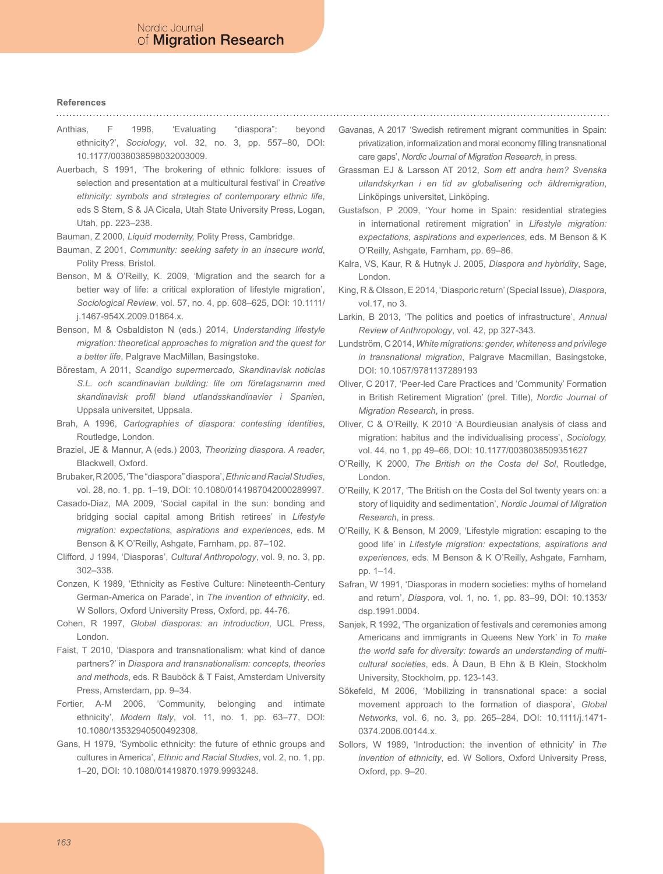#### **References**

- Anthias, F 1998, 'Evaluating "diaspora": beyond ethnicity?', *Sociology*, vol. 32, no. 3, pp. 557–80, DOI: 10.1177/0038038598032003009.
- Auerbach, S 1991, 'The brokering of ethnic folklore: issues of selection and presentation at a multicultural festival' in *Creative ethnicity: symbols and strategies of contemporary ethnic life*, eds S Stern, S & JA Cicala, Utah State University Press, Logan, Utah, pp. 223–238.
- Bauman, Z 2000, *Liquid modernity,* Polity Press, Cambridge.
- Bauman, Z 2001, *Community: seeking safety in an insecure world*, Polity Press, Bristol.
- Benson, M & O'Reilly, K. 2009, 'Migration and the search for a better way of life: a critical exploration of lifestyle migration', *Sociological Review*, vol. 57, no. 4, pp. 608–625, DOI: 10.1111/ j.1467-954X.2009.01864.x.
- Benson, M & Osbaldiston N (eds.) 2014, *Understanding lifestyle migration: theoretical approaches to migration and the quest for a better life*, Palgrave MacMillan, Basingstoke.
- Börestam, A 2011, *Scandigo supermercado, Skandinavisk noticias S.L. och scandinavian building: lite om företagsnamn med skandinavisk profil bland utlandsskandinavier i Spanien*, Uppsala universitet, Uppsala.
- Brah, A 1996, *Cartographies of diaspora: contesting identities*, Routledge, London.
- Braziel, JE & Mannur, A (eds.) 2003, *Theorizing diaspora. A reader*, Blackwell, Oxford.
- Brubaker, R 2005, 'The "diaspora" diaspora', *Ethnic and Racial Studies*, vol. 28, no. 1, pp. 1–19, DOI: 10.1080/0141987042000289997.
- Casado-Diaz, MA 2009, 'Social capital in the sun: bonding and bridging social capital among British retirees' in *Lifestyle migration: expectations, aspirations and experiences*, eds. M Benson & K O'Reilly, Ashgate, Farnham, pp. 87–102.
- Clifford, J 1994, 'Diasporas', *Cultural Anthropology*, vol. 9, no. 3, pp. 302–338.
- Conzen, K 1989, 'Ethnicity as Festive Culture: Nineteenth-Century German-America on Parade', in *The invention of ethnicity*, ed. W Sollors, Oxford University Press, Oxford, pp. 44-76.
- Cohen, R 1997, *Global diasporas: an introduction*, UCL Press, London.
- Faist, T 2010, 'Diaspora and transnationalism: what kind of dance partners?' in *Diaspora and transnationalism: concepts, theories and methods*, eds. R Bauböck & T Faist, Amsterdam University Press, Amsterdam, pp. 9–34.
- Fortier, A-M 2006, 'Community, belonging and intimate ethnicity', *Modern Italy*, vol. 11, no. 1, pp. 63–77, DOI: 10.1080/13532940500492308.
- Gans, H 1979, 'Symbolic ethnicity: the future of ethnic groups and cultures in America', *Ethnic and Racial Studies*, vol. 2, no. 1, pp. 1–20, DOI: 10.1080/01419870.1979.9993248.
- Gavanas, A 2017 'Swedish retirement migrant communities in Spain: privatization, informalization and moral economy filling transnational care gaps', *Nordic Journal of Migration Research*, in press.
- Grassman EJ & Larsson AT 2012, *Som ett andra hem? Svenska utlandskyrkan i en tid av globalisering och äldremigration*, Linköpings universitet, Linköping.
- Gustafson, P 2009, 'Your home in Spain: residential strategies in international retirement migration' in *Lifestyle migration: expectations, aspirations and experiences*, eds. M Benson & K O'Reilly, Ashgate, Farnham, pp. 69–86.
- Kalra, VS, Kaur, R & Hutnyk J. 2005, *Diaspora and hybridity*, Sage, London.
- King, R & Olsson, E 2014, 'Diasporic return' (Special Issue), *Diaspora*, vol.17, no 3.
- Larkin, B 2013, 'The politics and poetics of infrastructure', *Annual Review of Anthropology*, vol. 42, pp 327-343.
- Lundström, C 2014, *White migrations: gender, whiteness and privilege in transnational migration*, Palgrave Macmillan, Basingstoke, DOI: 10.1057/9781137289193
- Oliver, C 2017, 'Peer-led Care Practices and 'Community' Formation in British Retirement Migration' (prel. Title), *Nordic Journal of Migration Research*, in press.
- Oliver, C & O'Reilly, K 2010 'A Bourdieusian analysis of class and migration: habitus and the individualising process', *Sociology,* vol. 44, no 1, pp 49–66, DOI: 10.1177/0038038509351627
- O'Reilly, K 2000, *The British on the Costa del Sol*, Routledge, London.
- O'Reilly, K 2017, 'The British on the Costa del Sol twenty years on: a story of liquidity and sedimentation', *Nordic Journal of Migration Research*, in press.
- O'Reilly, K & Benson, M 2009, 'Lifestyle migration: escaping to the good life' in *Lifestyle migration: expectations, aspirations and experiences,* eds. M Benson & K O'Reilly, Ashgate, Farnham, pp. 1–14.
- Safran, W 1991, 'Diasporas in modern societies: myths of homeland and return', *Diaspora*, vol. 1, no. 1, pp. 83–99, DOI: 10.1353/ dsp.1991.0004.
- Sanjek, R 1992, 'The organization of festivals and ceremonies among Americans and immigrants in Queens New York' in *To make the world safe for diversity: towards an understanding of multicultural societies*, eds. Å Daun, B Ehn & B Klein, Stockholm University, Stockholm, pp. 123-143.
- Sökefeld, M 2006, 'Mobilizing in transnational space: a social movement approach to the formation of diaspora', *Global Networks*, vol. 6, no. 3, pp. 265–284, DOI: 10.1111/j.1471- 0374.2006.00144.x.
- Sollors, W 1989, 'Introduction: the invention of ethnicity' in *The invention of ethnicity*, ed. W Sollors, Oxford University Press, Oxford, pp. 9–20.